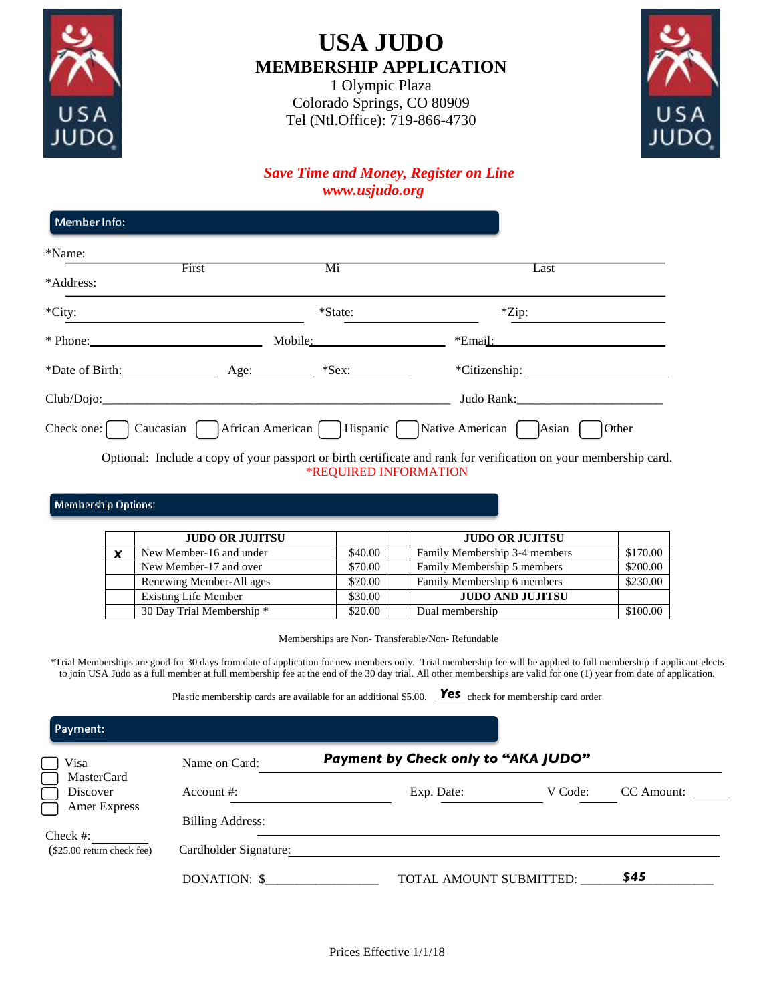

# **USA JUDO MEMBERSHIP APPLICATION**

1 Olympic Plaza Colorado Springs, CO 80909 Tel (Ntl.Office): 719-866-4730



### *Save Time and Money, Register on Line www.usjudo.org*

| Member Info:        |                                 |          |                                                                                                                      |
|---------------------|---------------------------------|----------|----------------------------------------------------------------------------------------------------------------------|
| *Name:              |                                 |          |                                                                                                                      |
| *Address:           | First                           | Mi       | Last                                                                                                                 |
| *City:              |                                 | *State:  | $*$ Zip:                                                                                                             |
| $*$ Phone:          |                                 | Mobile:  | *Email:                                                                                                              |
| *Date of Birth:     | Age:                            | $*$ Sex: | *Citizenship:                                                                                                        |
| Club/Dojo:          |                                 |          | Judo Rank:                                                                                                           |
| Check one: $\lceil$ | Caucasian  <br>African American |          | Hispanic Native American [<br>Asian<br>Other                                                                         |
|                     |                                 |          | القارات والمستحيل والمتحدث والمستحيل والمستحيل والمستحيث والمستحيث والمستحيث والمستحيث والمستحيل والمستحيل والمستحيل |

Optional: Include a copy of your passport or birth certificate and rank for verification on your membership card. \*REQUIRED INFORMATION

#### **Membership Options:**

|   | <b>JUDO OR JUJITSU</b>                                           |         | <b>JUDO OR JUJITSU</b>                                                                                                                                                                                                                                                                                                                          |          |
|---|------------------------------------------------------------------|---------|-------------------------------------------------------------------------------------------------------------------------------------------------------------------------------------------------------------------------------------------------------------------------------------------------------------------------------------------------|----------|
| X | New Member-16 and under                                          | \$40.00 | Family Membership 3-4 members                                                                                                                                                                                                                                                                                                                   | \$170.00 |
|   | New Member-17 and over                                           | \$70.00 | Family Membership 5 members                                                                                                                                                                                                                                                                                                                     | \$200.00 |
|   | Renewing Member-All ages                                         | \$70.00 | Family Membership 6 members                                                                                                                                                                                                                                                                                                                     | \$230.00 |
|   | <b>Existing Life Member</b>                                      | \$30.00 | <b>JUDO AND JUJITSU</b>                                                                                                                                                                                                                                                                                                                         |          |
|   | 30 Day Trial Membership *                                        | \$20.00 | Dual membership                                                                                                                                                                                                                                                                                                                                 | \$100.00 |
|   |                                                                  |         | Memberships are Non-Transferable/Non-Refundable<br>berships are good for 30 days from date of application for new members only. Trial membership fee will be applied to full membership if ap<br>A Judo as a full member at full membership fee at the end of the 30 day trial. All other memberships are valid for one (1) year from date of a |          |
|   | Plastic membership cards are available for an additional \$5.00. |         | <b>Yes</b> check for membership card order                                                                                                                                                                                                                                                                                                      |          |

\*Trial Memberships are good for 30 days from date of application for new members only. Trial membership fee will be applied to full membership if applicant elects to join USA Judo as a full member at full membership fee at the end of the 30 day trial. All other memberships are valid for one (1) year from date of application.

Plastic membership cards are available for an additional \$5.00. **Yes** check for membership card order

| Name on Card:           |            |         |                                                                |
|-------------------------|------------|---------|----------------------------------------------------------------|
|                         |            |         |                                                                |
| Account $\#$ :          | Exp. Date: | V Code: | CC Amount:                                                     |
|                         |            |         |                                                                |
| <b>Billing Address:</b> |            |         |                                                                |
|                         |            |         |                                                                |
| Cardholder Signature:   |            |         |                                                                |
| DONATION: \$            |            |         | \$45                                                           |
|                         |            |         | Payment by Check only to "AKA JUDO"<br>TOTAL AMOUNT SUBMITTED: |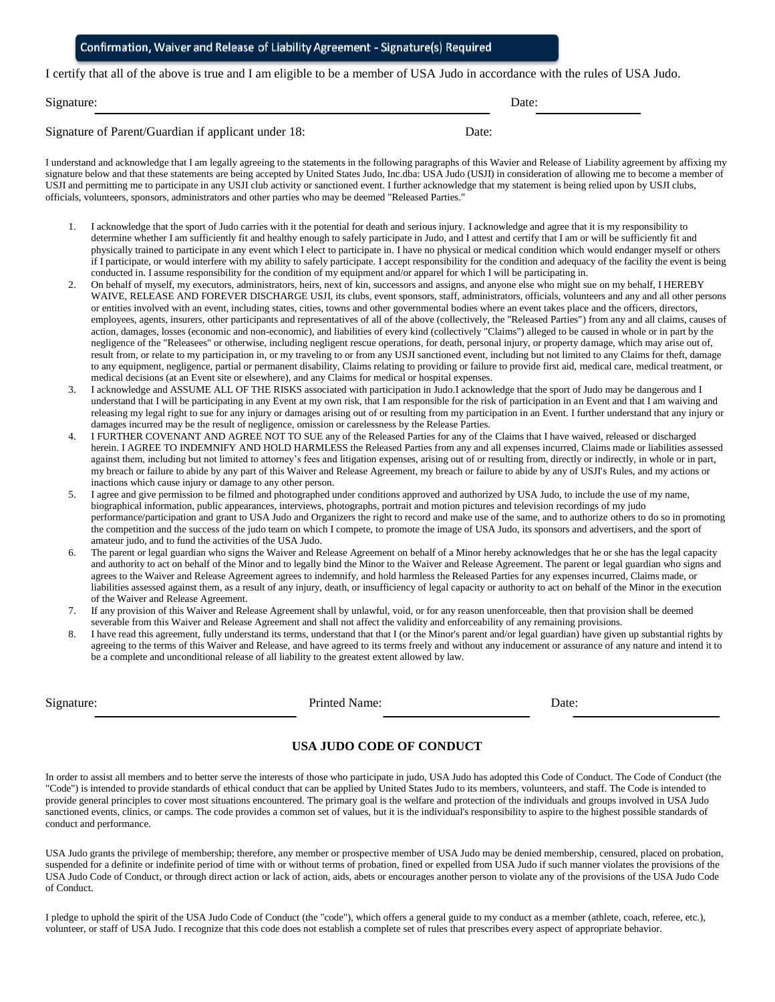| Confirmation, Waiver and Release of Liability Agreement - Signature(s) Required |  |  |
|---------------------------------------------------------------------------------|--|--|
|---------------------------------------------------------------------------------|--|--|

I certify that all of the above is true and I am eligible to be a member of USA Judo in accordance with the rules of USA Judo.

Signature: Date: Date: Date: Date: Date: Date: Date: Date: Date: Date: Date: Date: Date: Date: Date: Date: Date: Date: Date: Date: Date: Date: Date: Date: Date: Date: Date: Date: Date: Date: Date: Date: Date: Date: Date: D

Signature of Parent/Guardian if applicant under 18: Date:

I understand and acknowledge that I am legally agreeing to the statements in the following paragraphs of this Wavier and Release of Liability agreement by affixing my signature below and that these statements are being accepted by United States Judo, Inc.dba: USA Judo (USJI) in consideration of allowing me to become a member of USJI and permitting me to participate in any USJI club activity or sanctioned event. I further acknowledge that my statement is being relied upon by USJI clubs, officials, volunteers, sponsors, administrators and other parties who may be deemed "Released Parties."

- 1. I acknowledge that the sport of Judo carries with it the potential for death and serious injury. I acknowledge and agree that it is my responsibility to determine whether I am sufficiently fit and healthy enough to safely participate in Judo, and I attest and certify that I am or will be sufficiently fit and physically trained to participate in any event which I elect to participate in. I have no physical or medical condition which would endanger myself or others if I participate, or would interfere with my ability to safely participate. I accept responsibility for the condition and adequacy of the facility the event is being conducted in. I assume responsibility for the condition of my equipment and/or apparel for which I will be participating in.
- 2. On behalf of myself, my executors, administrators, heirs, next of kin, successors and assigns, and anyone else who might sue on my behalf, I HEREBY WAIVE, RELEASE AND FOREVER DISCHARGE USJI, its clubs, event sponsors, staff, administrators, officials, volunteers and any and all other persons or entities involved with an event, including states, cities, towns and other governmental bodies where an event takes place and the officers, directors, employees, agents, insurers, other participants and representatives of all of the above (collectively, the "Released Parties") from any and all claims, causes of action, damages, losses (economic and non-economic), and liabilities of every kind (collectively "Claims") alleged to be caused in whole or in part by the negligence of the "Releasees" or otherwise, including negligent rescue operations, for death, personal injury, or property damage, which may arise out of, result from, or relate to my participation in, or my traveling to or from any USJI sanctioned event, including but not limited to any Claims for theft, damage to any equipment, negligence, partial or permanent disability, Claims relating to providing or failure to provide first aid, medical care, medical treatment, or medical decisions (at an Event site or elsewhere), and any Claims for medical or hospital expenses.
- 3. I acknowledge and ASSUME ALL OF THE RISKS associated with participation in Judo.I acknowledge that the sport of Judo may be dangerous and I understand that I will be participating in any Event at my own risk, that I am responsible for the risk of participation in an Event and that I am waiving and releasing my legal right to sue for any injury or damages arising out of or resulting from my participation in an Event. I further understand that any injury or damages incurred may be the result of negligence, omission or carelessness by the Release Parties.
- 4. I FURTHER COVENANT AND AGREE NOT TO SUE any of the Released Parties for any of the Claims that I have waived, released or discharged herein. I AGREE TO INDEMNIFY AND HOLD HARMLESS the Released Parties from any and all expenses incurred, Claims made or liabilities assessed against them, including but not limited to attorney's fees and litigation expenses, arising out of or resulting from, directly or indirectly, in whole or in part, my breach or failure to abide by any part of this Waiver and Release Agreement, my breach or failure to abide by any of USJI's Rules, and my actions or inactions which cause injury or damage to any other person.
- 5. I agree and give permission to be filmed and photographed under conditions approved and authorized by USA Judo, to include the use of my name, biographical information, public appearances, interviews, photographs, portrait and motion pictures and television recordings of my judo performance/participation and grant to USA Judo and Organizers the right to record and make use of the same, and to authorize others to do so in promoting the competition and the success of the judo team on which I compete, to promote the image of USA Judo, its sponsors and advertisers, and the sport of amateur judo, and to fund the activities of the USA Judo.
- 6. The parent or legal guardian who signs the Waiver and Release Agreement on behalf of a Minor hereby acknowledges that he or she has the legal capacity and authority to act on behalf of the Minor and to legally bind the Minor to the Waiver and Release Agreement. The parent or legal guardian who signs and agrees to the Waiver and Release Agreement agrees to indemnify, and hold harmless the Released Parties for any expenses incurred, Claims made, or liabilities assessed against them, as a result of any injury, death, or insufficiency of legal capacity or authority to act on behalf of the Minor in the execution of the Waiver and Release Agreement.
- 7. If any provision of this Waiver and Release Agreement shall by unlawful, void, or for any reason unenforceable, then that provision shall be deemed severable from this Waiver and Release Agreement and shall not affect the validity and enforceability of any remaining provisions.
- I have read this agreement, fully understand its terms, understand that that I (or the Minor's parent and/or legal guardian) have given up substantial rights by agreeing to the terms of this Waiver and Release, and have agreed to its terms freely and without any inducement or assurance of any nature and intend it to be a complete and unconditional release of all liability to the greatest extent allowed by law.

Printed Name: Date:

#### **USA JUDO CODE OF CONDUCT**

In order to assist all members and to better serve the interests of those who participate in judo, USA Judo has adopted this Code of Conduct. The Code of Conduct (the "Code") is intended to provide standards of ethical conduct that can be applied by United States Judo to its members, volunteers, and staff. The Code is intended to provide general principles to cover most situations encountered. The primary goal is the welfare and protection of the individuals and groups involved in USA Judo sanctioned events, clinics, or camps. The code provides a common set of values, but it is the individual's responsibility to aspire to the highest possible standards of conduct and performance.

USA Judo grants the privilege of membership; therefore, any member or prospective member of USA Judo may be denied membership, censured, placed on probation, suspended for a definite or indefinite period of time with or without terms of probation, fined or expelled from USA Judo if such manner violates the provisions of the USA Judo Code of Conduct, or through direct action or lack of action, aids, abets or encourages another person to violate any of the provisions of the USA Judo Code of Conduct.

I pledge to uphold the spirit of the USA Judo Code of Conduct (the "code"), which offers a general guide to my conduct as a member (athlete, coach, referee, etc.), volunteer, or staff of USA Judo. I recognize that this code does not establish a complete set of rules that prescribes every aspect of appropriate behavior.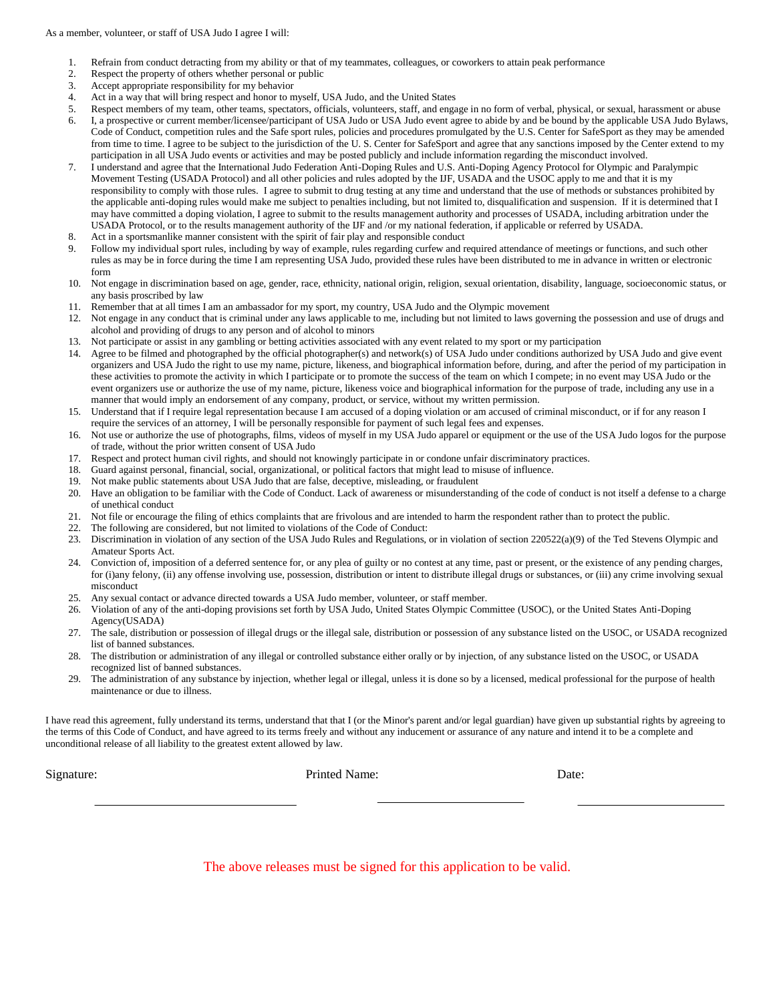- 1. Refrain from conduct detracting from my ability or that of my teammates, colleagues, or coworkers to attain peak performance
- 2. Respect the property of others whether personal or public
- 3. Accept appropriate responsibility for my behavior
- 4. Act in a way that will bring respect and honor to myself, USA Judo, and the United States
- 5. Respect members of my team, other teams, spectators, officials, volunteers, staff, and engage in no form of verbal, physical, or sexual, harassment or abuse 6. I, a prospective or current member/licensee/participant of USA Judo or USA Judo event agree to abide by and be bound by the applicable USA Judo Bylaws, Code of Conduct, competition rules and the Safe sport rules, policies and procedures promulgated by the U.S. Center for SafeSport as they may be amended from time to time. I agree to be subject to the jurisdiction of the U. S. Center for SafeSport and agree that any sanctions imposed by the Center extend to my participation in all USA Judo events or activities and may be posted publicly and include information regarding the misconduct involved.
- 7. I understand and agree that the International Judo Federation Anti-Doping Rules and U.S. Anti-Doping Agency Protocol for Olympic and Paralympic Movement Testing (USADA Protocol) and all other policies and rules adopted by the IJF, USADA and the USOC apply to me and that it is my responsibility to comply with those rules. I agree to submit to drug testing at any time and understand that the use of methods or substances prohibited by the applicable anti-doping rules would make me subject to penalties including, but not limited to, disqualification and suspension. If it is determined that I may have committed a doping violation, I agree to submit to the results management authority and processes of USADA, including arbitration under the USADA Protocol, or to the results management authority of the IJF and /or my national federation, if applicable or referred by USADA.
- Act in a sportsmanlike manner consistent with the spirit of fair play and responsible conduct
- 9. Follow my individual sport rules, including by way of example, rules regarding curfew and required attendance of meetings or functions, and such other rules as may be in force during the time I am representing USA Judo, provided these rules have been distributed to me in advance in written or electronic form
- 10. Not engage in discrimination based on age, gender, race, ethnicity, national origin, religion, sexual orientation, disability, language, socioeconomic status, or any basis proscribed by law
- Remember that at all times I am an ambassador for my sport, my country, USA Judo and the Olympic movement
- 12. Not engage in any conduct that is criminal under any laws applicable to me, including but not limited to laws governing the possession and use of drugs and alcohol and providing of drugs to any person and of alcohol to minors
- 13. Not participate or assist in any gambling or betting activities associated with any event related to my sport or my participation
- 14. Agree to be filmed and photographed by the official photographer(s) and network(s) of USA Judo under conditions authorized by USA Judo and give event organizers and USA Judo the right to use my name, picture, likeness, and biographical information before, during, and after the period of my participation in these activities to promote the activity in which I participate or to promote the success of the team on which I compete; in no event may USA Judo or the event organizers use or authorize the use of my name, picture, likeness voice and biographical information for the purpose of trade, including any use in a manner that would imply an endorsement of any company, product, or service, without my written permission.
- 15. Understand that if I require legal representation because I am accused of a doping violation or am accused of criminal misconduct, or if for any reason I require the services of an attorney, I will be personally responsible for payment of such legal fees and expenses.
- 16. Not use or authorize the use of photographs, films, videos of myself in my USA Judo apparel or equipment or the use of the USA Judo logos for the purpose of trade, without the prior written consent of USA Judo
- 17. Respect and protect human civil rights, and should not knowingly participate in or condone unfair discriminatory practices.
- 18. Guard against personal, financial, social, organizational, or political factors that might lead to misuse of influence.
- 19. Not make public statements about USA Judo that are false, deceptive, misleading, or fraudulent
- 20. Have an obligation to be familiar with the Code of Conduct. Lack of awareness or misunderstanding of the code of conduct is not itself a defense to a charge of unethical conduct
- 21. Not file or encourage the filing of ethics complaints that are frivolous and are intended to harm the respondent rather than to protect the public.
- 22. The following are considered, but not limited to violations of the Code of Conduct:
- 23. Discrimination in violation of any section of the USA Judo Rules and Regulations, or in violation of section 220522(a)(9) of the Ted Stevens Olympic and Amateur Sports Act.
- 24. Conviction of, imposition of a deferred sentence for, or any plea of guilty or no contest at any time, past or present, or the existence of any pending charges, for (i)any felony, (ii) any offense involving use, possession, distribution or intent to distribute illegal drugs or substances, or (iii) any crime involving sexual misconduct
- 25. Any sexual contact or advance directed towards a USA Judo member, volunteer, or staff member.
- 26. Violation of any of the anti-doping provisions set forth by USA Judo, United States Olympic Committee (USOC), or the United States Anti-Doping Agency(USADA)
- 27. The sale, distribution or possession of illegal drugs or the illegal sale, distribution or possession of any substance listed on the USOC, or USADA recognized list of banned substances.
- 28. The distribution or administration of any illegal or controlled substance either orally or by injection, of any substance listed on the USOC, or USADA recognized list of banned substances.
- 29. The administration of any substance by injection, whether legal or illegal, unless it is done so by a licensed, medical professional for the purpose of health maintenance or due to illness.

I have read this agreement, fully understand its terms, understand that that I (or the Minor's parent and/or legal guardian) have given up substantial rights by agreeing to the terms of this Code of Conduct, and have agreed to its terms freely and without any inducement or assurance of any nature and intend it to be a complete and unconditional release of all liability to the greatest extent allowed by law.

Signature: Date: Printed Name: Date: Date: Date: Date: Date: Date: Date: Date: Date: Date: Date: Date: Date: Date: Date: Date: Date: Date: Date: Date: Date: Date: Date: Date: Date: Date: Date: Date: Date: Date: Date: Date:

The above releases must be signed for this application to be valid.